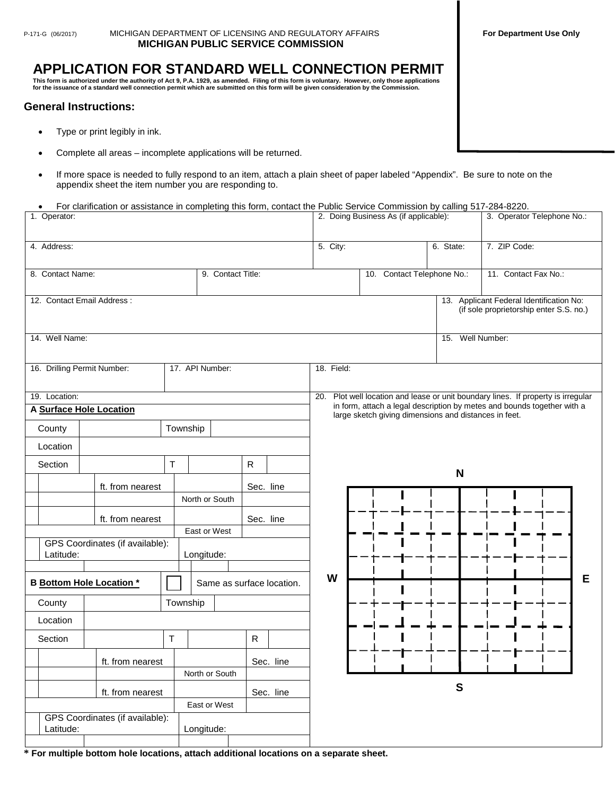## P-171-G (06/2017) MICHIGAN DEPARTMENT OF LICENSING AND REGULATORY AFFAIRS **For Department Use Only MICHIGAN PUBLIC SERVICE COMMISSION**

## **APPLICATION FOR STANDARD WELL CONNECTION PERMIT**

This form is authorized under the authority of Act 9, P.A. 1929, as amended. Filing of this form is voluntary. However, only those applications<br>for the issuance of a standard well connection permit which are submitted on

## **General Instructions:**

- Type or print legibly in ink.
- Complete all areas incomplete applications will be returned.
- If more space is needed to fully respond to an item, attach a plain sheet of paper labeled "Appendix". Be sure to note on the appendix sheet the item number you are responding to.

• For clarification or assistance in completing this form, contact the Public Service Commission by calling 517-284-8220.

| 1. Operator:                                                 |                                 |                   |              |                                                                                      | 2. Doing Business As (if applicable):                                                                                            | 3. Operator Telephone No.: |                                                                                     |  |  |  |  |  |
|--------------------------------------------------------------|---------------------------------|-------------------|--------------|--------------------------------------------------------------------------------------|----------------------------------------------------------------------------------------------------------------------------------|----------------------------|-------------------------------------------------------------------------------------|--|--|--|--|--|
| 4. Address:                                                  |                                 |                   |              |                                                                                      | 5. City:                                                                                                                         |                            | 7. ZIP Code:                                                                        |  |  |  |  |  |
|                                                              |                                 |                   |              |                                                                                      |                                                                                                                                  |                            |                                                                                     |  |  |  |  |  |
| 8. Contact Name:                                             |                                 | 9. Contact Title: |              |                                                                                      | 10. Contact Telephone No.:                                                                                                       |                            | 11. Contact Fax No.:                                                                |  |  |  |  |  |
| 12. Contact Email Address:                                   |                                 |                   |              |                                                                                      |                                                                                                                                  |                            | 13. Applicant Federal Identification No:<br>(if sole proprietorship enter S.S. no.) |  |  |  |  |  |
| 14. Well Name:                                               |                                 |                   |              | Well Number:<br>15.                                                                  |                                                                                                                                  |                            |                                                                                     |  |  |  |  |  |
| 16. Drilling Permit Number:<br>17. API Number:               |                                 |                   |              |                                                                                      | 18. Field:                                                                                                                       |                            |                                                                                     |  |  |  |  |  |
| 19. Location:                                                |                                 |                   |              | Plot well location and lease or unit boundary lines. If property is irregular<br>20. |                                                                                                                                  |                            |                                                                                     |  |  |  |  |  |
| A Surface Hole Location                                      |                                 |                   |              |                                                                                      | in form, attach a legal description by metes and bounds together with a<br>large sketch giving dimensions and distances in feet. |                            |                                                                                     |  |  |  |  |  |
| County                                                       |                                 | Township          |              |                                                                                      |                                                                                                                                  |                            |                                                                                     |  |  |  |  |  |
| Location                                                     |                                 |                   |              |                                                                                      |                                                                                                                                  |                            |                                                                                     |  |  |  |  |  |
| Section                                                      |                                 | $\mathsf T$       | ${\sf R}$    |                                                                                      |                                                                                                                                  | N                          |                                                                                     |  |  |  |  |  |
|                                                              | ft. from nearest                |                   | Sec. line    |                                                                                      |                                                                                                                                  |                            |                                                                                     |  |  |  |  |  |
|                                                              |                                 | North or South    |              |                                                                                      |                                                                                                                                  |                            |                                                                                     |  |  |  |  |  |
|                                                              | ft. from nearest                |                   | Sec. line    |                                                                                      |                                                                                                                                  |                            |                                                                                     |  |  |  |  |  |
|                                                              |                                 | East or West      |              |                                                                                      |                                                                                                                                  |                            |                                                                                     |  |  |  |  |  |
| Latitude:                                                    | GPS Coordinates (if available): | Longitude:        |              |                                                                                      |                                                                                                                                  |                            |                                                                                     |  |  |  |  |  |
|                                                              |                                 |                   |              | W                                                                                    |                                                                                                                                  |                            | Е                                                                                   |  |  |  |  |  |
| <b>B</b> Bottom Hole Location *<br>Same as surface location. |                                 |                   |              |                                                                                      |                                                                                                                                  |                            |                                                                                     |  |  |  |  |  |
| County                                                       |                                 | Township          |              |                                                                                      |                                                                                                                                  |                            |                                                                                     |  |  |  |  |  |
| Location                                                     |                                 |                   |              |                                                                                      |                                                                                                                                  |                            |                                                                                     |  |  |  |  |  |
| Section                                                      |                                 | $\mathsf T$       | $\mathsf{R}$ |                                                                                      |                                                                                                                                  |                            |                                                                                     |  |  |  |  |  |
|                                                              | ft. from nearest                |                   | Sec. line    |                                                                                      |                                                                                                                                  |                            |                                                                                     |  |  |  |  |  |
|                                                              |                                 | North or South    |              |                                                                                      |                                                                                                                                  |                            |                                                                                     |  |  |  |  |  |
|                                                              | ft. from nearest                |                   | Sec. line    |                                                                                      |                                                                                                                                  | ${\bf S}$                  |                                                                                     |  |  |  |  |  |
| East or West<br>GPS Coordinates (if available):              |                                 |                   |              |                                                                                      |                                                                                                                                  |                            |                                                                                     |  |  |  |  |  |
| Latitude:<br>Longitude:                                      |                                 |                   |              |                                                                                      |                                                                                                                                  |                            |                                                                                     |  |  |  |  |  |

**\* For multiple bottom hole locations, attach additional locations on a separate sheet.**